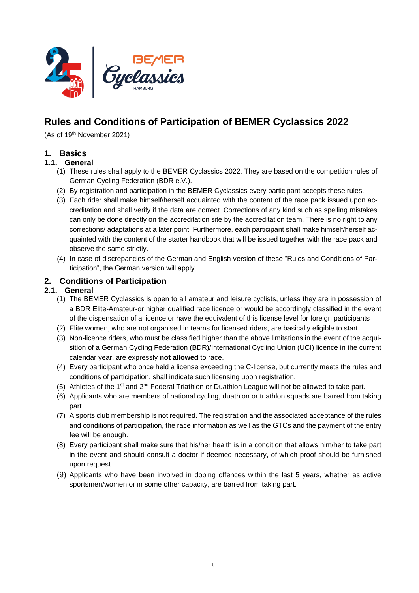

# **Rules and Conditions of Participation of BEMER Cyclassics 2022**

(As of 19<sup>th</sup> November 2021)

# **1. Basics**

#### **1.1. General**

- (1) These rules shall apply to the BEMER Cyclassics 2022. They are based on the competition rules of German Cycling Federation (BDR e.V.).
- (2) By registration and participation in the BEMER Cyclassics every participant accepts these rules.
- (3) Each rider shall make himself/herself acquainted with the content of the race pack issued upon accreditation and shall verify if the data are correct. Corrections of any kind such as spelling mistakes can only be done directly on the accreditation site by the accreditation team. There is no right to any corrections/ adaptations at a later point. Furthermore, each participant shall make himself/herself acquainted with the content of the starter handbook that will be issued together with the race pack and observe the same strictly.
- (4) In case of discrepancies of the German and English version of these "Rules and Conditions of Participation", the German version will apply.

# **2. Conditions of Participation**

#### **2.1. General**

- (1) The BEMER Cyclassics is open to all amateur and leisure cyclists, unless they are in possession of a BDR Elite-Amateur-or higher qualified race licence or would be accordingly classified in the event of the dispensation of a licence or have the equivalent of this license level for foreign participants
- (2) Elite women, who are not organised in teams for licensed riders, are basically eligible to start.
- (3) Non-licence riders, who must be classified higher than the above limitations in the event of the acquisition of a German Cycling Federation (BDR)/International Cycling Union (UCI) licence in the current calendar year, are expressly **not allowed** to race.
- (4) Every participant who once held a license exceeding the C-license, but currently meets the rules and conditions of participation, shall indicate such licensing upon registration.
- (5) Athletes of the 1<sup>st</sup> and 2<sup>nd</sup> Federal Triathlon or Duathlon League will not be allowed to take part.
- (6) Applicants who are members of national cycling, duathlon or triathlon squads are barred from taking part.
- (7) A sports club membership is not required. The registration and the associated acceptance of the rules and conditions of participation, the race information as well as the GTCs and the payment of the entry fee will be enough.
- (8) Every participant shall make sure that his/her health is in a condition that allows him/her to take part in the event and should consult a doctor if deemed necessary, of which proof should be furnished upon request.
- (9) Applicants who have been involved in doping offences within the last 5 years, whether as active sportsmen/women or in some other capacity, are barred from taking part.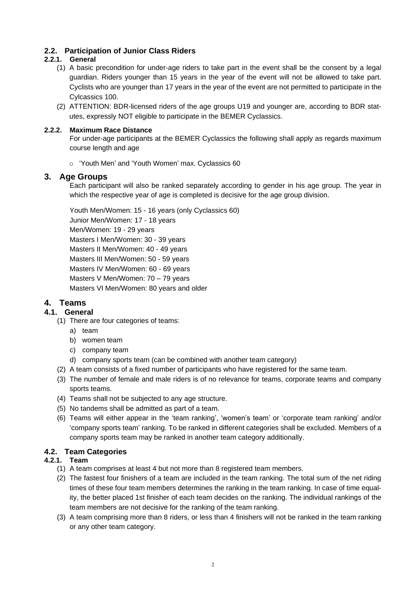# **2.2. Participation of Junior Class Riders**

### **2.2.1. General**

- (1) A basic precondition for under-age riders to take part in the event shall be the consent by a legal guardian. Riders younger than 15 years in the year of the event will not be allowed to take part. Cyclists who are younger than 17 years in the year of the event are not permitted to participate in the Cylcassics 100.
- (2) ATTENTION: BDR-licensed riders of the age groups U19 and younger are, according to BDR statutes, expressly NOT eligible to participate in the BEMER Cyclassics.

#### **2.2.2. Maximum Race Distance**

For under-age participants at the BEMER Cyclassics the following shall apply as regards maximum course length and age

o 'Youth Men' and 'Youth Women' max. Cyclassics 60

#### <span id="page-1-1"></span>**3. Age Groups**

Each participant will also be ranked separately according to gender in his age group. The year in which the respective year of age is completed is decisive for the age group division.

Youth Men/Women: 15 - 16 years (only Cyclassics 60) Junior Men/Women: 17 - 18 years Men/Women: 19 - 29 years Masters I Men/Women: 30 - 39 years Masters II Men/Women: 40 - 49 years Masters III Men/Women: 50 - 59 years Masters IV Men/Women: 60 - 69 years Masters V Men/Women: 70 – 79 years Masters VI Men/Women: 80 years and older

# **4. Teams**

#### **4.1. General**

- (1) There are four categories of teams:
	- a) team
	- b) women team
	- c) company team
	- d) company sports team (can be combined with another team category)
- (2) A team consists of a fixed number of participants who have registered for the same team.
- (3) The number of female and male riders is of no relevance for teams, corporate teams and company sports teams.
- (4) Teams shall not be subjected to any age structure.
- (5) No tandems shall be admitted as part of a team.
- (6) Teams will either appear in the 'team ranking', 'women's team' or 'corporate team ranking' and/or 'company sports team' ranking. To be ranked in different categories shall be excluded. Members of a company sports team may be ranked in another team category additionally.

#### <span id="page-1-2"></span>**4.2. Team Categories**

#### <span id="page-1-0"></span>**4.2.1. Team**

- (1) A team comprises at least 4 but not more than 8 registered team members.
- (2) The fastest four finishers of a team are included in the team ranking. The total sum of the net riding times of these four team members determines the ranking in the team ranking. In case of time equality, the better placed 1st finisher of each team decides on the ranking. The individual rankings of the team members are not decisive for the ranking of the team ranking.
- (3) A team comprising more than 8 riders, or less than 4 finishers will not be ranked in the team ranking or any other team category.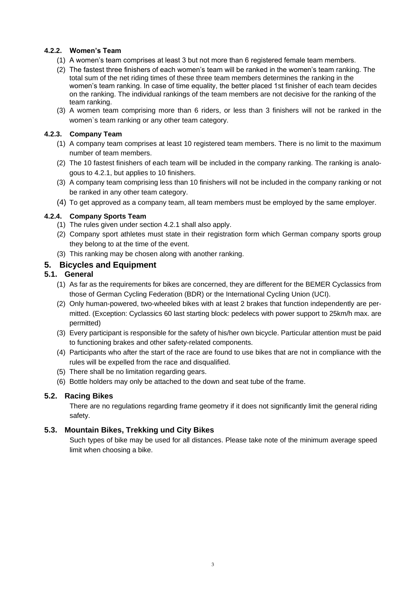#### **4.2.2. Women's Team**

- (1) A women's team comprises at least 3 but not more than 6 registered female team members.
- (2) The fastest three finishers of each women's team will be ranked in the women's team ranking. The total sum of the net riding times of these three team members determines the ranking in the women's team ranking. In case of time equality, the better placed 1st finisher of each team decides on the ranking. The individual rankings of the team members are not decisive for the ranking of the team ranking.
- (3) A women team comprising more than 6 riders, or less than 3 finishers will not be ranked in the women`s team ranking or any other team category.

#### **4.2.3. Company Team**

- (1) A company team comprises at least 10 registered team members. There is no limit to the maximum number of team members.
- (2) The 10 fastest finishers of each team will be included in the company ranking. The ranking is [analo](http://www.dict.cc/englisch-deutsch/analogous+to.html)[gous to](http://www.dict.cc/englisch-deutsch/analogous+to.html) [4.2.1,](#page-1-0) but applies to 10 finishers.
- (3) A company team comprising less than 10 finishers will not be included in the company ranking or not be ranked in any other team category.
- (4) To get approved as a company team, all team members must be employed by the same employer.

#### **4.2.4. Company Sports Team**

- (1) The rules given under section [4.2.1](#page-1-0) shall also apply.
- (2) Company sport athletes must state in their registration form which German company sports group they belong to at the time of the event.
- (3) This ranking may be chosen along with another ranking.

# **5. Bicycles and Equipment**

#### **5.1. General**

- (1) As far as the requirements for bikes are concerned, they are different for the BEMER Cyclassics from those of German Cycling Federation (BDR) or the International Cycling Union (UCI).
- (2) Only human-powered, two-wheeled bikes with at least 2 brakes that function independently are permitted. (Exception: Cyclassics 60 last starting block: pedelecs with power support to 25km/h max. are permitted)
- (3) Every participant is responsible for the safety of his/her own bicycle. Particular attention must be paid to functioning brakes and other safety-related components.
- (4) Participants who after the start of the race are found to use bikes that are not in compliance with the rules will be expelled from the race and disqualified.
- (5) There shall be no limitation regarding gears.
- (6) Bottle holders may only be attached to the down and seat tube of the frame.

#### **5.2. Racing Bikes**

There are no regulations regarding frame geometry if it does not significantly limit the general riding safety.

#### **5.3. Mountain Bikes, Trekking und City Bikes**

Such types of bike may be used for all distances. Please take note of the minimum average speed limit when choosing a bike.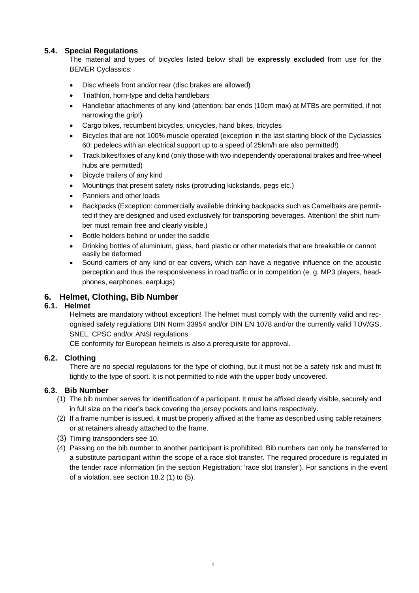### **5.4. Special Regulations**

The material and types of bicycles listed below shall be **expressly excluded** from use for the BEMER Cyclassics:

- Disc wheels front and/or rear (disc brakes are allowed)
- Triathlon, horn-type and delta handlebars
- Handlebar attachments of any kind (attention: bar ends (10cm max) at MTBs are permitted, if not narrowing the grip!)
- Cargo bikes, recumbent bicycles, unicycles, hand bikes, tricycles
- Bicycles that are not 100% muscle operated (exception in the last starting block of the Cyclassics 60: pedelecs with an electrical support up to a speed of 25km/h are also permitted!)
- Track bikes/fixies of any kind (only those with two independently operational brakes and free-wheel hubs are permitted)
- Bicycle trailers of any kind
- Mountings that present safety risks (protruding kickstands, pegs etc.)
- Panniers and other loads
- Backpacks (Exception: commercially available drinking backpacks such as Camelbaks are permitted if they are designed and used exclusively for transporting beverages. Attention! the shirt number must remain free and clearly visible.)
- Bottle holders behind or under the saddle
- Drinking bottles of aluminium, glass, hard plastic or other materials that are breakable or cannot easily be deformed
- Sound carriers of any kind or ear covers, which can have a negative influence on the acoustic perception and thus the responsiveness in road traffic or in competition (e. g. MP3 players, headphones, earphones, earplugs)

# **6. Helmet, Clothing, Bib Number**

#### **6.1. Helmet**

Helmets are mandatory without exception! The helmet must comply with the currently valid and recognised safety regulations DIN Norm 33954 and/or DIN EN 1078 and/or the currently valid TÜV/GS, SNEL, CPSC and/or ANSI regulations.

CE conformity for European helmets is also a prerequisite for approval.

#### **6.2. Clothing**

There are no special regulations for the type of clothing, but it must not be a safety risk and must fit tightly to the type of sport. It is not permitted to ride with the upper body uncovered.

#### **6.3. Bib Number**

- (1) The bib number serves for identification of a participant. It must be affixed clearly visible, securely and in full size on the rider's back covering the jersey pockets and loins respectively.
- (2) If a frame number is issued, it must be properly affixed at the frame as described using cable retainers or at retainers already attached to the frame.
- (3) Timing transponders see [10.](#page-6-0)
- (4) Passing on the bib number to another participant is prohibited. Bib numbers can only be transferred to a substitute participant within the scope of a race slot transfer. The required procedure is regulated in the tender race information (in the section Registration: 'race slot transfer'). For sanctions in the event of a violation, see section [18.2](#page-8-0) (1) to (5).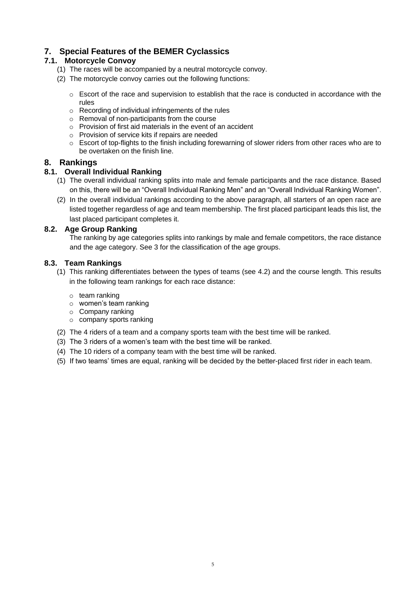# **7. Special Features of the BEMER Cyclassics**

# **7.1. Motorcycle Convoy**

- (1) The races will be accompanied by a neutral motorcycle convoy.
- (2) The motorcycle convoy carries out the following functions:
	- $\circ$  Escort of the race and supervision to establish that the race is conducted in accordance with the rules
	- o Recording of individual infringements of the rules
	- o Removal of non-participants from the course
	- o Provision of first aid materials in the event of an accident
	- o Provision of service kits if repairs are needed
	- $\circ$  Escort of top-flights to the finish including forewarning of slower riders from other races who are to be overtaken on the finish line.

### **8. Rankings**

#### **8.1. Overall Individual Ranking**

- (1) The overall individual ranking splits into male and female participants and the race distance. Based on this, there will be an "Overall Individual Ranking Men" and an "Overall Individual Ranking Women".
- (2) In the overall individual rankings according to the above paragraph, all starters of an open race are listed together regardless of age and team membership. The first placed participant leads this list, the last placed participant completes it.

#### **8.2. Age Group Ranking**

The ranking by age categories splits into rankings by male and female competitors, the race distance and the age category. See [3](#page-1-1) for the classification of the age groups.

#### **8.3. Team Rankings**

- (1) This ranking differentiates between the types of teams (see [4.2\)](#page-1-2) and the course length. This results in the following team rankings for each race distance:
	- o team ranking
	- o women's team ranking
	- o Company ranking
	- o company sports ranking
- (2) The 4 riders of a team and a company sports team with the best time will be ranked.
- (3) The 3 riders of a women's team with the best time will be ranked.
- (4) The 10 riders of a company team with the best time will be ranked.
- (5) If two teams' times are equal, ranking will be decided by the better-placed first rider in each team.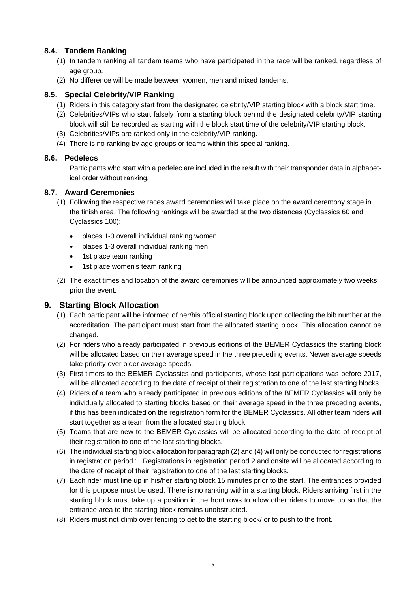# **8.4. Tandem Ranking**

- (1) In tandem ranking all tandem teams who have participated in the race will be ranked, regardless of age group.
- (2) No difference will be made between women, men and mixed tandems.

#### **8.5. Special Celebrity/VIP Ranking**

- (1) Riders in this category start from the designated celebrity/VIP starting block with a block start time.
- (2) Celebrities/VIPs who start falsely from a starting block behind the designated celebrity/VIP starting block will still be recorded as starting with the block start time of the celebrity/VIP starting block.
- (3) Celebrities/VIPs are ranked only in the celebrity/VIP ranking.
- (4) There is no ranking by age groups or teams within this special ranking.

#### **8.6. Pedelecs**

Participants who start with a pedelec are included in the result with their transponder data in alphabetical order without ranking.

#### **8.7. Award Ceremonies**

- (1) Following the respective races award ceremonies will take place on the award ceremony stage in the finish area. The following rankings will be awarded at the two distances (Cyclassics 60 and Cyclassics 100):
	- places 1-3 overall individual ranking women
	- places 1-3 overall individual ranking men
	- 1st place team ranking
	- 1st place women's team ranking
- (2) The exact times and location of the award ceremonies will be announced approximately two weeks prior the event.

# **9. Starting Block Allocation**

- (1) Each participant will be informed of her/his official starting block upon collecting the bib number at the accreditation. The participant must start from the allocated starting block. This allocation cannot be changed.
- (2) For riders who already participated in previous editions of the BEMER Cyclassics the starting block will be allocated based on their average speed in the three preceding events. Newer average speeds take priority over older average speeds.
- (3) First-timers to the BEMER Cyclassics and participants, whose last participations was before 2017, will be allocated according to the date of receipt of their registration to one of the last starting blocks.
- (4) Riders of a team who already participated in previous editions of the BEMER Cyclassics will only be individually allocated to starting blocks based on their average speed in the three preceding events, if this has been indicated on the registration form for the BEMER Cyclassics. All other team riders will start together as a team from the allocated starting block.
- (5) Teams that are new to the BEMER Cyclassics will be allocated according to the date of receipt of their registration to one of the last starting blocks.
- (6) The individual starting block allocation for paragraph (2) and (4) will only be conducted for registrations in registration period 1. Registrations in registration period 2 and onsite will be allocated according to the date of receipt of their registration to one of the last starting blocks.
- (7) Each rider must line up in his/her starting block 15 minutes prior to the start. The entrances provided for this purpose must be used. There is no ranking within a starting block. Riders arriving first in the starting block must take up a position in the front rows to allow other riders to move up so that the entrance area to the starting block remains unobstructed.
- (8) Riders must not climb over fencing to get to the starting block/ or to push to the front.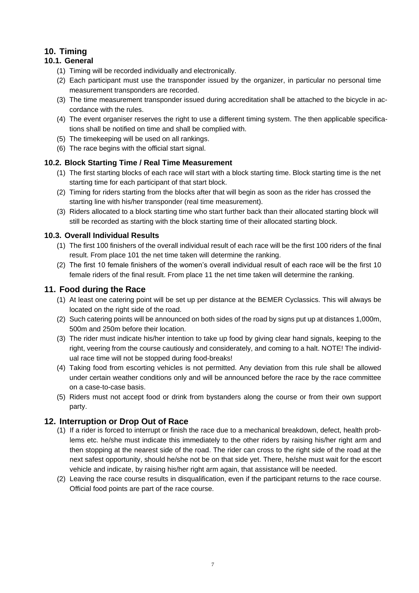# <span id="page-6-0"></span>**10. Timing**

# **10.1. General**

- (1) Timing will be recorded individually and electronically.
- (2) Each participant must use the transponder issued by the organizer, in particular no personal time measurement transponders are recorded.
- (3) The time measurement transponder issued during accreditation shall be attached to the bicycle in accordance with the rules.
- (4) The event organiser reserves the right to use a different timing system. The then applicable specifications shall be notified on time and shall be complied with.
- (5) The timekeeping will be used on all rankings.
- (6) The race begins with the official start signal.

# **10.2. Block Starting Time / Real Time Measurement**

- (1) The first starting blocks of each race will start with a block starting time. Block starting time is the net starting time for each participant of that start block.
- (2) Timing for riders starting from the blocks after that will begin as soon as the rider has crossed the starting line with his/her transponder (real time measurement).
- (3) Riders allocated to a block starting time who start further back than their allocated starting block will still be recorded as starting with the block starting time of their allocated starting block.

### **10.3. Overall Individual Results**

- (1) The first 100 finishers of the overall individual result of each race will be the first 100 riders of the final result. From place 101 the net time taken will determine the ranking.
- (2) The first 10 female finishers of the women's overall individual result of each race will be the first 10 female riders of the final result. From place 11 the net time taken will determine the ranking.

# **11. Food during the Race**

- (1) At least one catering point will be set up per distance at the BEMER Cyclassics. This will always be located on the right side of the road.
- (2) Such catering points will be announced on both sides of the road by signs put up at distances 1,000m, 500m and 250m before their location.
- (3) The rider must indicate his/her intention to take up food by giving clear hand signals, keeping to the right, veering from the course cautiously and considerately, and coming to a halt. NOTE! The individual race time will not be stopped during food-breaks!
- (4) Taking food from escorting vehicles is not permitted. Any deviation from this rule shall be allowed under certain weather conditions only and will be announced before the race by the race committee on a case-to-case basis.
- (5) Riders must not accept food or drink from bystanders along the course or from their own support party.

# **12. Interruption or Drop Out of Race**

- (1) If a rider is forced to interrupt or finish the race due to a mechanical breakdown, defect, health problems etc. he/she must indicate this immediately to the other riders by raising his/her right arm and then stopping at the nearest side of the road. The rider can cross to the right side of the road at the next safest opportunity, should he/she not be on that side yet. There, he/she must wait for the escort vehicle and indicate, by raising his/her right arm again, that assistance will be needed.
- (2) Leaving the race course results in disqualification, even if the participant returns to the race course. Official food points are part of the race course.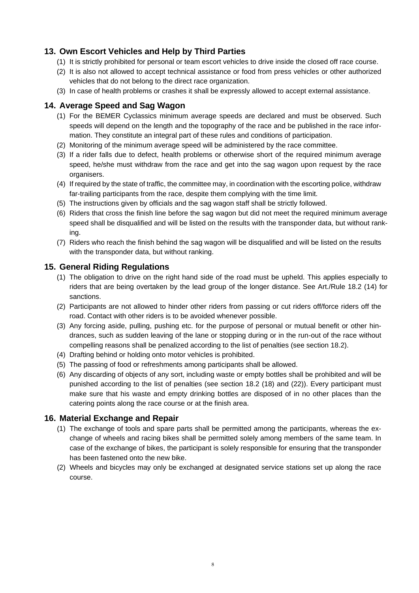# **13. Own Escort Vehicles and Help by Third Parties**

- (1) It is strictly prohibited for personal or team escort vehicles to drive inside the closed off race course.
- (2) It is also not allowed to accept technical assistance or food from press vehicles or other authorized vehicles that do not belong to the direct race organization.
- (3) In case of health problems or crashes it shall be expressly allowed to accept external assistance.

# **14. Average Speed and Sag Wagon**

- (1) For the BEMER Cyclassics minimum average speeds are declared and must be observed. Such speeds will depend on the length and the topography of the race and be published in the race information. They constitute an integral part of these rules and conditions of participation.
- (2) Monitoring of the minimum average speed will be administered by the race committee.
- (3) If a rider falls due to defect, health problems or otherwise short of the required minimum average speed, he/she must withdraw from the race and get into the sag wagon upon request by the race organisers.
- (4) If required by the state of traffic, the committee may, in coordination with the escorting police, withdraw far-trailing participants from the race, despite them complying with the time limit.
- (5) The instructions given by officials and the sag wagon staff shall be strictly followed.
- (6) Riders that cross the finish line before the sag wagon but did not meet the required minimum average speed shall be disqualified and will be listed on the results with the transponder data, but without ranking.
- (7) Riders who reach the finish behind the sag wagon will be disqualified and will be listed on the results with the transponder data, but without ranking.

# **15. General Riding Regulations**

- (1) The obligation to drive on the right hand side of the road must be upheld. This applies especially to riders that are being overtaken by the lead group of the longer distance. See Art./Rule [18.2](#page-8-0) (14) for sanctions.
- (2) Participants are not allowed to hinder other riders from passing or cut riders off/force riders off the road. Contact with other riders is to be avoided whenever possible.
- (3) Any forcing aside, pulling, pushing etc. for the purpose of personal or mutual benefit or other hindrances, such as sudden leaving of the lane or stopping during or in the run-out of the race without compelling reasons shall be penalized according to the list of penalties (see section [18.2\)](#page-8-0).
- (4) Drafting behind or holding onto motor vehicles is prohibited.
- (5) The passing of food or refreshments among participants shall be allowed.
- (6) Any discarding of objects of any sort, including waste or empty bottles shall be prohibited and will be punished according to the list of penalties (see section [18.2](#page-8-0) (18) and (22)). Every participant must make sure that his waste and empty drinking bottles are disposed of in no other places than the catering points along the race course or at the finish area.

# **16. Material Exchange and Repair**

- (1) The exchange of tools and spare parts shall be permitted among the participants, whereas the exchange of wheels and racing bikes shall be permitted solely among members of the same team. In case of the exchange of bikes, the participant is solely responsible for ensuring that the transponder has been fastened onto the new bike.
- (2) Wheels and bicycles may only be exchanged at designated service stations set up along the race course.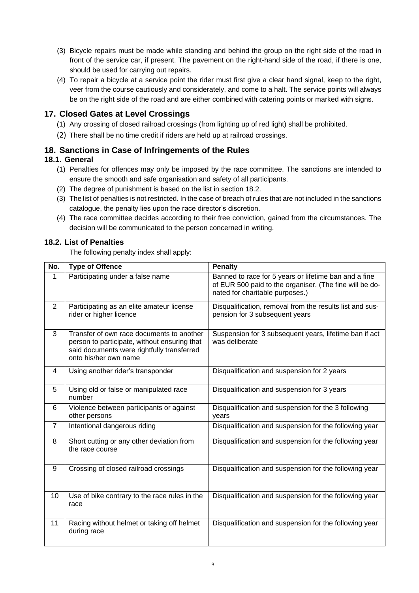- (3) Bicycle repairs must be made while standing and behind the group on the right side of the road in front of the service car, if present. The pavement on the right-hand side of the road, if there is one, should be used for carrying out repairs.
- (4) To repair a bicycle at a service point the rider must first give a clear hand signal, keep to the right, veer from the course cautiously and considerately, and come to a halt. The service points will always be on the right side of the road and are either combined with catering points or marked with signs.

# **17. Closed Gates at Level Crossings**

- (1) Any crossing of closed railroad crossings (from lighting up of red light) shall be prohibited.
- (2) There shall be no time credit if riders are held up at railroad crossings.

### **18. Sanctions in Case of Infringements of the Rules**

#### **18.1. General**

- (1) Penalties for offences may only be imposed by the race committee. The sanctions are intended to ensure the smooth and safe organisation and safety of all participants.
- (2) The degree of punishment is based on the list in section [18.2.](#page-8-0)
- (3) The list of penalties is not restricted. In the case of breach of rules that are not included in the sanctions catalogue, the penalty lies upon the race director's discretion.
- (4) The race committee decides according to their free conviction, gained from the circumstances. The decision will be communicated to the person concerned in writing.

#### <span id="page-8-0"></span>**18.2. List of Penalties**

The following penalty index shall apply:

| No.            | <b>Type of Offence</b>                                                                                                                                           | <b>Penalty</b>                                                                                                                                      |
|----------------|------------------------------------------------------------------------------------------------------------------------------------------------------------------|-----------------------------------------------------------------------------------------------------------------------------------------------------|
| $\mathbf{1}$   | Participating under a false name                                                                                                                                 | Banned to race for 5 years or lifetime ban and a fine<br>of EUR 500 paid to the organiser. (The fine will be do-<br>nated for charitable purposes.) |
| $\overline{2}$ | Participating as an elite amateur license<br>rider or higher licence                                                                                             | Disqualification, removal from the results list and sus-<br>pension for 3 subsequent years                                                          |
| 3              | Transfer of own race documents to another<br>person to participate, without ensuring that<br>said documents were rightfully transferred<br>onto his/her own name | Suspension for 3 subsequent years, lifetime ban if act<br>was deliberate                                                                            |
| $\overline{4}$ | Using another rider's transponder                                                                                                                                | Disqualification and suspension for 2 years                                                                                                         |
| 5              | Using old or false or manipulated race<br>number                                                                                                                 | Disqualification and suspension for 3 years                                                                                                         |
| 6              | Violence between participants or against<br>other persons                                                                                                        | Disqualification and suspension for the 3 following<br>years                                                                                        |
| $\overline{7}$ | Intentional dangerous riding                                                                                                                                     | Disqualification and suspension for the following year                                                                                              |
| 8              | Short cutting or any other deviation from<br>the race course                                                                                                     | Disqualification and suspension for the following year                                                                                              |
| 9              | Crossing of closed railroad crossings                                                                                                                            | Disqualification and suspension for the following year                                                                                              |
| 10             | Use of bike contrary to the race rules in the<br>race                                                                                                            | Disqualification and suspension for the following year                                                                                              |
| 11             | Racing without helmet or taking off helmet<br>during race                                                                                                        | Disqualification and suspension for the following year                                                                                              |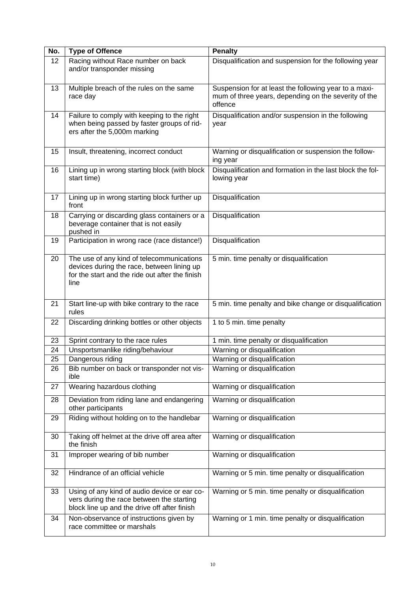| No. | <b>Type of Offence</b>                                                                                                                             | <b>Penalty</b>                                                                                                           |
|-----|----------------------------------------------------------------------------------------------------------------------------------------------------|--------------------------------------------------------------------------------------------------------------------------|
| 12  | Racing without Race number on back<br>and/or transponder missing                                                                                   | Disqualification and suspension for the following year                                                                   |
| 13  | Multiple breach of the rules on the same<br>race day                                                                                               | Suspension for at least the following year to a maxi-<br>mum of three years, depending on the severity of the<br>offence |
| 14  | Failure to comply with keeping to the right<br>when being passed by faster groups of rid-<br>ers after the 5,000m marking                          | Disqualification and/or suspension in the following<br>year                                                              |
| 15  | Insult, threatening, incorrect conduct                                                                                                             | Warning or disqualification or suspension the follow-<br>ing year                                                        |
| 16  | Lining up in wrong starting block (with block<br>start time)                                                                                       | Disqualification and formation in the last block the fol-<br>lowing year                                                 |
| 17  | Lining up in wrong starting block further up<br>front                                                                                              | Disqualification                                                                                                         |
| 18  | Carrying or discarding glass containers or a<br>beverage container that is not easily<br>pushed in                                                 | Disqualification                                                                                                         |
| 19  | Participation in wrong race (race distance!)                                                                                                       | Disqualification                                                                                                         |
| 20  | The use of any kind of telecommunications<br>devices during the race, between lining up<br>for the start and the ride out after the finish<br>line | 5 min. time penalty or disqualification                                                                                  |
| 21  | Start line-up with bike contrary to the race<br>rules                                                                                              | 5 min. time penalty and bike change or disqualification                                                                  |
| 22  | Discarding drinking bottles or other objects                                                                                                       | 1 to 5 min. time penalty                                                                                                 |
| 23  | Sprint contrary to the race rules                                                                                                                  | 1 min. time penalty or disqualification                                                                                  |
| 24  | Unsportsmanlike riding/behaviour                                                                                                                   | Warning or disqualification                                                                                              |
| 25  | Dangerous riding                                                                                                                                   | Warning or disqualification                                                                                              |
| 26  | Bib number on back or transponder not vis-<br>ible                                                                                                 | Warning or disqualification                                                                                              |
| 27  | Wearing hazardous clothing                                                                                                                         | Warning or disqualification                                                                                              |
| 28  | Deviation from riding lane and endangering<br>other participants                                                                                   | Warning or disqualification                                                                                              |
| 29  | Riding without holding on to the handlebar                                                                                                         | Warning or disqualification                                                                                              |
| 30  | Taking off helmet at the drive off area after<br>the finish                                                                                        | Warning or disqualification                                                                                              |
| 31  | Improper wearing of bib number                                                                                                                     | Warning or disqualification                                                                                              |
| 32  | Hindrance of an official vehicle                                                                                                                   | Warning or 5 min. time penalty or disqualification                                                                       |
| 33  | Using of any kind of audio device or ear co-<br>vers during the race between the starting<br>block line up and the drive off after finish          | Warning or 5 min. time penalty or disqualification                                                                       |
| 34  | Non-observance of instructions given by<br>race committee or marshals                                                                              | Warning or 1 min. time penalty or disqualification                                                                       |